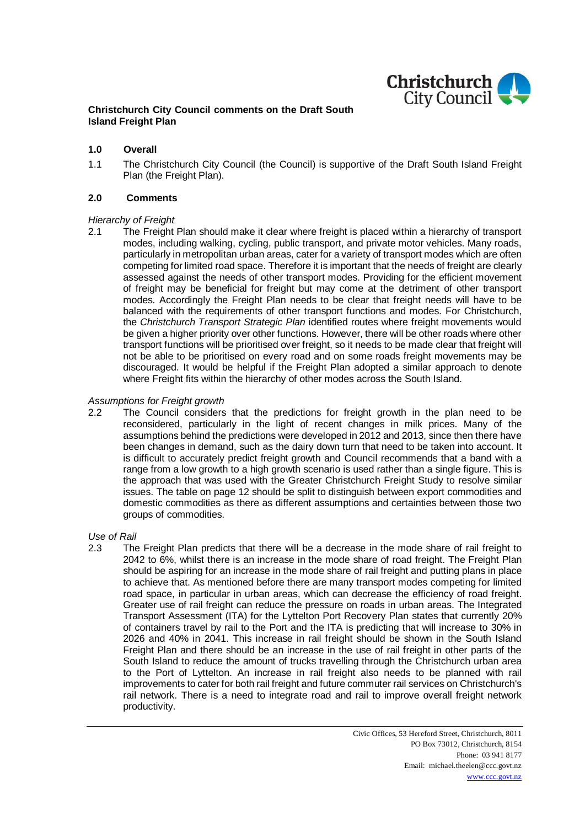

# **Christchurch City Council comments on the Draft South Island Freight Plan**

## **1.0 Overall**

1.1 The Christchurch City Council (the Council) is supportive of the Draft South Island Freight Plan (the Freight Plan).

## **2.0 Comments**

## *Hierarchy of Freight*

2.1 The Freight Plan should make it clear where freight is placed within a hierarchy of transport modes, including walking, cycling, public transport, and private motor vehicles. Many roads, particularly in metropolitan urban areas, cater for a variety of transport modes which are often competing for limited road space. Therefore it is important that the needs of freight are clearly assessed against the needs of other transport modes. Providing for the efficient movement of freight may be beneficial for freight but may come at the detriment of other transport modes. Accordingly the Freight Plan needs to be clear that freight needs will have to be balanced with the requirements of other transport functions and modes. For Christchurch, the *Christchurch Transport Strategic Plan* identified routes where freight movements would be given a higher priority over other functions. However, there will be other roads where other transport functions will be prioritised over freight, so it needs to be made clear that freight will not be able to be prioritised on every road and on some roads freight movements may be discouraged. It would be helpful if the Freight Plan adopted a similar approach to denote where Freight fits within the hierarchy of other modes across the South Island.

## *Assumptions for Freight growth*

2.2 The Council considers that the predictions for freight growth in the plan need to be reconsidered, particularly in the light of recent changes in milk prices. Many of the assumptions behind the predictions were developed in 2012 and 2013, since then there have been changes in demand, such as the dairy down turn that need to be taken into account. It is difficult to accurately predict freight growth and Council recommends that a band with a range from a low growth to a high growth scenario is used rather than a single figure. This is the approach that was used with the Greater Christchurch Freight Study to resolve similar issues. The table on page 12 should be split to distinguish between export commodities and domestic commodities as there as different assumptions and certainties between those two groups of commodities.

### *Use of Rail*

2.3 The Freight Plan predicts that there will be a decrease in the mode share of rail freight to 2042 to 6%, whilst there is an increase in the mode share of road freight. The Freight Plan should be aspiring for an increase in the mode share of rail freight and putting plans in place to achieve that. As mentioned before there are many transport modes competing for limited road space, in particular in urban areas, which can decrease the efficiency of road freight. Greater use of rail freight can reduce the pressure on roads in urban areas. The Integrated Transport Assessment (ITA) for the Lyttelton Port Recovery Plan states that currently 20% of containers travel by rail to the Port and the ITA is predicting that will increase to 30% in 2026 and 40% in 2041. This increase in rail freight should be shown in the South Island Freight Plan and there should be an increase in the use of rail freight in other parts of the South Island to reduce the amount of trucks travelling through the Christchurch urban area to the Port of Lyttelton. An increase in rail freight also needs to be planned with rail improvements to cater for both rail freight and future commuter rail services on Christchurch's rail network. There is a need to integrate road and rail to improve overall freight network productivity.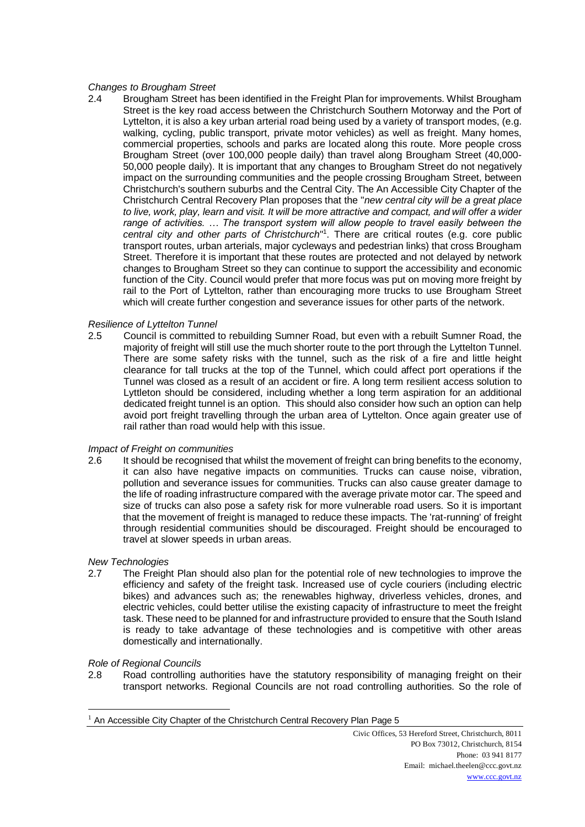## *Changes to Brougham Street*

2.4 Brougham Street has been identified in the Freight Plan for improvements. Whilst Brougham Street is the key road access between the Christchurch Southern Motorway and the Port of Lyttelton, it is also a key urban arterial road being used by a variety of transport modes, (e.g. walking, cycling, public transport, private motor vehicles) as well as freight. Many homes, commercial properties, schools and parks are located along this route. More people cross Brougham Street (over 100,000 people daily) than travel along Brougham Street (40,000- 50,000 people daily). It is important that any changes to Brougham Street do not negatively impact on the surrounding communities and the people crossing Brougham Street, between Christchurch's southern suburbs and the Central City. The An Accessible City Chapter of the Christchurch Central Recovery Plan proposes that the "*new central city will be a great place to live, work, play, learn and visit. It will be more attractive and compact, and will offer a wider range of activities. … The transport system will allow people to travel easily between the central city and other parts of Christchurch*" 1 . There are critical routes (e.g. core public transport routes, urban arterials, major cycleways and pedestrian links) that cross Brougham Street. Therefore it is important that these routes are protected and not delayed by network changes to Brougham Street so they can continue to support the accessibility and economic function of the City. Council would prefer that more focus was put on moving more freight by rail to the Port of Lyttelton, rather than encouraging more trucks to use Brougham Street which will create further congestion and severance issues for other parts of the network.

# *Resilience of Lyttelton Tunnel*

2.5 Council is committed to rebuilding Sumner Road, but even with a rebuilt Sumner Road, the majority of freight will still use the much shorter route to the port through the Lyttelton Tunnel. There are some safety risks with the tunnel, such as the risk of a fire and little height clearance for tall trucks at the top of the Tunnel, which could affect port operations if the Tunnel was closed as a result of an accident or fire. A long term resilient access solution to Lyttleton should be considered, including whether a long term aspiration for an additional dedicated freight tunnel is an option. This should also consider how such an option can help avoid port freight travelling through the urban area of Lyttelton. Once again greater use of rail rather than road would help with this issue.

### *Impact of Freight on communities*

2.6 It should be recognised that whilst the movement of freight can bring benefits to the economy. it can also have negative impacts on communities. Trucks can cause noise, vibration, pollution and severance issues for communities. Trucks can also cause greater damage to the life of roading infrastructure compared with the average private motor car. The speed and size of trucks can also pose a safety risk for more vulnerable road users. So it is important that the movement of freight is managed to reduce these impacts. The 'rat-running' of freight through residential communities should be discouraged. Freight should be encouraged to travel at slower speeds in urban areas.

### *New Technologies*

2.7 The Freight Plan should also plan for the potential role of new technologies to improve the efficiency and safety of the freight task. Increased use of cycle couriers (including electric bikes) and advances such as; the renewables highway, driverless vehicles, drones, and electric vehicles, could better utilise the existing capacity of infrastructure to meet the freight task. These need to be planned for and infrastructure provided to ensure that the South Island is ready to take advantage of these technologies and is competitive with other areas domestically and internationally.

### *Role of Regional Councils*

 $\overline{a}$ 

2.8 Road controlling authorities have the statutory responsibility of managing freight on their transport networks. Regional Councils are not road controlling authorities. So the role of

 $1$  An Accessible City Chapter of the Christchurch Central Recovery Plan Page 5